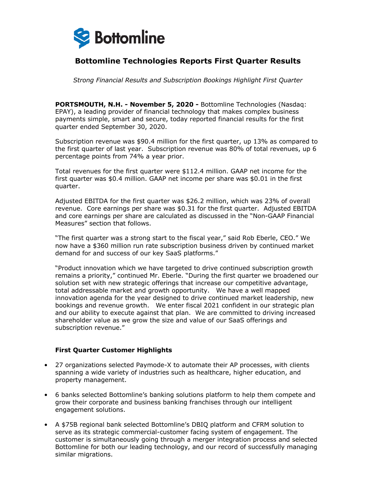

# **Bottomline Technologies Reports First Quarter Results**

*Strong Financial Results and Subscription Bookings Highlight First Quarter*

**PORTSMOUTH, N.H. - November 5, 2020 -** Bottomline Technologies (Nasdaq: EPAY), a leading provider of financial technology that makes complex business payments simple, smart and secure, today reported financial results for the first quarter ended September 30, 2020.

Subscription revenue was \$90.4 million for the first quarter, up 13% as compared to the first quarter of last year. Subscription revenue was 80% of total revenues, up 6 percentage points from 74% a year prior.

Total revenues for the first quarter were \$112.4 million. GAAP net income for the first quarter was \$0.4 million. GAAP net income per share was \$0.01 in the first quarter.

Adjusted EBITDA for the first quarter was \$26.2 million, which was 23% of overall revenue. Core earnings per share was \$0.31 for the first quarter. Adjusted EBITDA and core earnings per share are calculated as discussed in the "Non-GAAP Financial Measures" section that follows.

"The first quarter was a strong start to the fiscal year," said Rob Eberle, CEO." We now have a \$360 million run rate subscription business driven by continued market demand for and success of our key SaaS platforms."

"Product innovation which we have targeted to drive continued subscription growth remains a priority," continued Mr. Eberle. "During the first quarter we broadened our solution set with new strategic offerings that increase our competitive advantage, total addressable market and growth opportunity. We have a well mapped innovation agenda for the year designed to drive continued market leadership, new bookings and revenue growth. We enter fiscal 2021 confident in our strategic plan and our ability to execute against that plan. We are committed to driving increased shareholder value as we grow the size and value of our SaaS offerings and subscription revenue."

#### **First Quarter Customer Highlights**

- 27 organizations selected Paymode-X to automate their AP processes, with clients spanning a wide variety of industries such as healthcare, higher education, and property management.
- 6 banks selected Bottomline's banking solutions platform to help them compete and grow their corporate and business banking franchises through our intelligent engagement solutions.
- A \$75B regional bank selected Bottomline's DBIQ platform and CFRM solution to serve as its strategic commercial-customer facing system of engagement. The customer is simultaneously going through a merger integration process and selected Bottomline for both our leading technology, and our record of successfully managing similar migrations.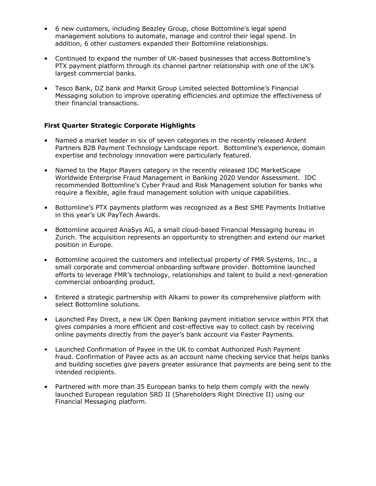- 6 new customers, including Beazley Group, chose Bottomline's legal spend management solutions to automate, manage and control their legal spend. In addition, 6 other customers expanded their Bottomline relationships.
- Continued to expand the number of UK-based businesses that access Bottomline's PTX payment platform through its channel partner relationship with one of the UK's largest commercial banks.
- Tesco Bank, DZ bank and Markit Group Limited selected Bottomline's Financial Messaging solution to improve operating efficiencies and optimize the effectiveness of their financial transactions.

## **First Quarter Strategic Corporate Highlights**

- Named a market leader in six of seven categories in the recently released Ardent Partners B2B Payment Technology Landscape report. Bottomline's experience, domain expertise and technology innovation were particularly featured.
- Named to the Major Players category in the recently released IDC MarketScape Worldwide Enterprise Fraud Management in Banking 2020 Vendor Assessment. IDC recommended Bottomline's Cyber Fraud and Risk Management solution for banks who require a flexible, agile fraud management solution with unique capabilities.
- Bottomline's PTX payments platform was recognized as a Best SME Payments Initiative in this year's UK PayTech Awards.
- Bottomline acquired AnaSys AG, a small cloud-based Financial Messaging bureau in Zurich. The acquisition represents an opportunity to strengthen and extend our market position in Europe.
- Bottomline acquired the customers and intellectual property of FMR Systems, Inc., a small corporate and commercial onboarding software provider. Bottomline launched efforts to leverage FMR's technology, relationships and talent to build a next-generation commercial onboarding product.
- Entered a strategic partnership with Alkami to power its comprehensive platform with select Bottomline solutions.
- Launched Pay Direct, a new UK Open Banking payment initiation service within PTX that gives companies a more efficient and cost-effective way to collect cash by receiving online payments directly from the payer's bank account via Faster Payments.
- Launched Confirmation of Payee in the UK to combat Authorized Push Payment fraud. Confirmation of Payee acts as an account name checking service that helps banks and building societies give payers greater assurance that payments are being sent to the intended recipients.
- Partnered with more than 35 European banks to help them comply with the newly launched European regulation SRD II (Shareholders Right Directive II) using our Financial Messaging platform.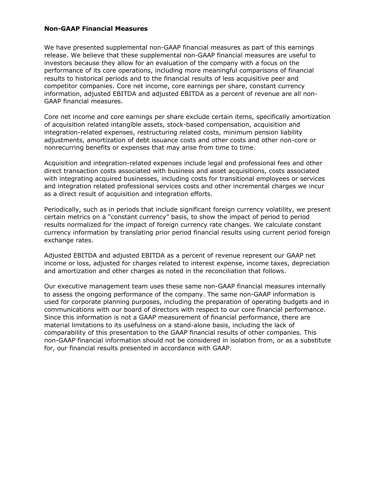#### **Non-GAAP Financial Measures**

We have presented supplemental non-GAAP financial measures as part of this earnings release. We believe that these supplemental non-GAAP financial measures are useful to investors because they allow for an evaluation of the company with a focus on the performance of its core operations, including more meaningful comparisons of financial results to historical periods and to the financial results of less acquisitive peer and competitor companies. Core net income, core earnings per share, constant currency information, adjusted EBITDA and adjusted EBITDA as a percent of revenue are all non-GAAP financial measures.

Core net income and core earnings per share exclude certain items, specifically amortization of acquisition related intangible assets, stock-based compensation, acquisition and integration-related expenses, restructuring related costs, minimum pension liability adjustments, amortization of debt issuance costs and other costs and other non-core or nonrecurring benefits or expenses that may arise from time to time.

Acquisition and integration-related expenses include legal and professional fees and other direct transaction costs associated with business and asset acquisitions, costs associated with integrating acquired businesses, including costs for transitional employees or services and integration related professional services costs and other incremental charges we incur as a direct result of acquisition and integration efforts.

Periodically, such as in periods that include significant foreign currency volatility, we present certain metrics on a "constant currency" basis, to show the impact of period to period results normalized for the impact of foreign currency rate changes. We calculate constant currency information by translating prior period financial results using current period foreign exchange rates.

Adjusted EBITDA and adjusted EBITDA as a percent of revenue represent our GAAP net income or loss, adjusted for charges related to interest expense, income taxes, depreciation and amortization and other charges as noted in the reconciliation that follows.

Our executive management team uses these same non-GAAP financial measures internally to assess the ongoing performance of the company. The same non-GAAP information is used for corporate planning purposes, including the preparation of operating budgets and in communications with our board of directors with respect to our core financial performance. Since this information is not a GAAP measurement of financial performance, there are material limitations to its usefulness on a stand-alone basis, including the lack of comparability of this presentation to the GAAP financial results of other companies. This non-GAAP financial information should not be considered in isolation from, or as a substitute for, our financial results presented in accordance with GAAP.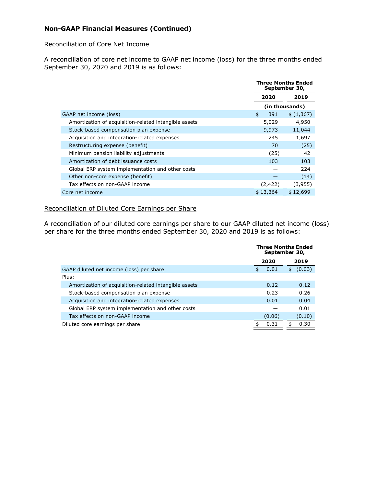# **Non-GAAP Financial Measures (Continued)**

#### Reconciliation of Core Net Income

A reconciliation of core net income to GAAP net income (loss) for the three months ended September 30, 2020 and 2019 is as follows:

|                                                       | <b>Three Months Ended</b><br>September 30, |      |           |
|-------------------------------------------------------|--------------------------------------------|------|-----------|
|                                                       | 2020                                       |      | 2019      |
|                                                       | (in thousands)                             |      |           |
| GAAP net income (loss)                                | \$                                         | 391  | \$(1,367) |
| Amortization of acquisition-related intangible assets | 5,029                                      |      | 4,950     |
| Stock-based compensation plan expense                 | 9,973                                      |      | 11,044    |
| Acquisition and integration-related expenses          |                                            | 245  | 1,697     |
| Restructuring expense (benefit)                       |                                            | 70   | (25)      |
| Minimum pension liability adjustments                 |                                            | (25) | 42        |
| Amortization of debt issuance costs                   |                                            | 103  | 103       |
| Global ERP system implementation and other costs      |                                            |      | 224       |
| Other non-core expense (benefit)                      |                                            |      | (14)      |
| Tax effects on non-GAAP income                        | (2,422)                                    |      | (3,955)   |
| Core net income                                       | \$13,364                                   |      | \$12,699  |

# Reconciliation of Diluted Core Earnings per Share

A reconciliation of our diluted core earnings per share to our GAAP diluted net income (loss) per share for the three months ended September 30, 2020 and 2019 is as follows:

|                                                       | <b>Three Months Ended</b><br>September 30, |           |  |
|-------------------------------------------------------|--------------------------------------------|-----------|--|
|                                                       | 2020                                       | 2019      |  |
| GAAP diluted net income (loss) per share              | 0.01<br>\$                                 | \$ (0.03) |  |
| Plus:                                                 |                                            |           |  |
| Amortization of acquisition-related intangible assets | 0.12                                       | 0.12      |  |
| Stock-based compensation plan expense                 | 0.23                                       | 0.26      |  |
| Acquisition and integration-related expenses          | 0.01                                       | 0.04      |  |
| Global ERP system implementation and other costs      |                                            | 0.01      |  |
| Tax effects on non-GAAP income                        | (0.06)                                     | (0.10)    |  |
| Diluted core earnings per share                       | 0.31<br>\$                                 | 0.30      |  |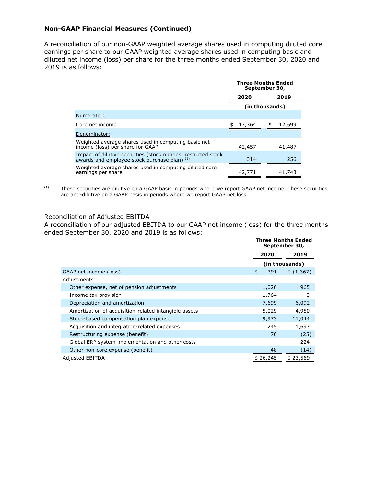# **Non-GAAP Financial Measures (Continued)**

A reconciliation of our non-GAAP weighted average shares used in computing diluted core earnings per share to our GAAP weighted average shares used in computing basic and diluted net income (loss) per share for the three months ended September 30, 2020 and 2019 is as follows:

|                                                                                                                | <b>Three Months Ended</b><br>September 30, |              |  |
|----------------------------------------------------------------------------------------------------------------|--------------------------------------------|--------------|--|
|                                                                                                                | 2020                                       | 2019         |  |
|                                                                                                                | (in thousands)                             |              |  |
| Numerator:                                                                                                     |                                            |              |  |
| Core net income                                                                                                | 13,364                                     | 12,699<br>\$ |  |
| Denominator:                                                                                                   |                                            |              |  |
| Weighted average shares used in computing basic net<br>income (loss) per share for GAAP                        | 42,457                                     | 41,487       |  |
| Impact of dilutive securities (stock options, restricted stock<br>awards and employee stock purchase plan) (1) | 314                                        | 256          |  |
| Weighted average shares used in computing diluted core<br>earnings per share                                   | 42,771                                     | 41,743       |  |

 $(1)$  These securities are dilutive on a GAAP basis in periods where we report GAAP net income. These securities are anti-dilutive on a GAAP basis in periods where we report GAAP net loss.

#### Reconciliation of Adjusted EBITDA

A reconciliation of our adjusted EBITDA to our GAAP net income (loss) for the three months ended September 30, 2020 and 2019 is as follows:

|                                                       |                | <b>Three Months Ended</b><br>September 30, |  |  |
|-------------------------------------------------------|----------------|--------------------------------------------|--|--|
|                                                       | 2020           | 2019                                       |  |  |
|                                                       | (in thousands) |                                            |  |  |
| GAAP net income (loss)                                | \$<br>391      | \$(1,367)                                  |  |  |
| Adjustments:                                          |                |                                            |  |  |
| Other expense, net of pension adjustments             | 1,026          | 965                                        |  |  |
| Income tax provision                                  | 1,764          | 3                                          |  |  |
| Depreciation and amortization                         | 7,699          | 6,092                                      |  |  |
| Amortization of acquisition-related intangible assets | 5,029          | 4,950                                      |  |  |
| Stock-based compensation plan expense                 | 9,973          | 11,044                                     |  |  |
| Acquisition and integration-related expenses          | 245            | 1,697                                      |  |  |
| Restructuring expense (benefit)                       | 70             | (25)                                       |  |  |
| Global ERP system implementation and other costs      |                | 224                                        |  |  |
| Other non-core expense (benefit)                      | 48             | (14)                                       |  |  |
| <b>Adjusted EBITDA</b>                                | \$26,245       | \$23,569                                   |  |  |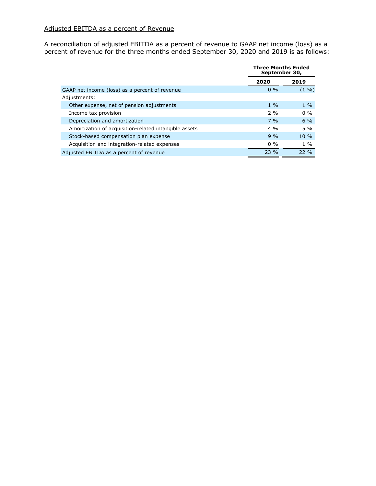# Adjusted EBITDA as a percent of Revenue

A reconciliation of adjusted EBITDA as a percent of revenue to GAAP net income (loss) as a percent of revenue for the three months ended September 30, 2020 and 2019 is as follows:

|                                                       |       | <b>Three Months Ended</b><br>September 30, |  |  |
|-------------------------------------------------------|-------|--------------------------------------------|--|--|
|                                                       | 2020  | 2019                                       |  |  |
| GAAP net income (loss) as a percent of revenue        | $0\%$ | $(1 \%)$                                   |  |  |
| Adjustments:                                          |       |                                            |  |  |
| Other expense, net of pension adjustments             | $1\%$ | $1\%$                                      |  |  |
| Income tax provision                                  | 2 %   | $0\%$                                      |  |  |
| Depreciation and amortization                         | $7\%$ | $6\%$                                      |  |  |
| Amortization of acquisition-related intangible assets | $4\%$ | $5\%$                                      |  |  |
| Stock-based compensation plan expense                 | $9\%$ | $10\%$                                     |  |  |
| Acquisition and integration-related expenses          | $0\%$ | $1\%$                                      |  |  |
| Adjusted EBITDA as a percent of revenue               | 23 %  | $22\%$                                     |  |  |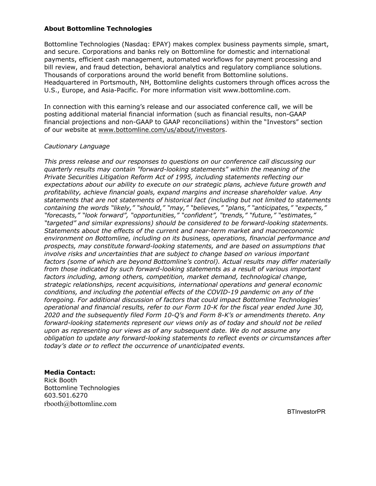## **About Bottomline Technologies**

Bottomline Technologies (Nasdaq: EPAY) makes complex business payments simple, smart, and secure. Corporations and banks rely on Bottomline for domestic and international payments, efficient cash management, automated workflows for payment processing and bill review, and fraud detection, behavioral analytics and regulatory compliance solutions. Thousands of corporations around the world benefit from Bottomline solutions. Headquartered in Portsmouth, NH, Bottomline delights customers through offices across the U.S., Europe, and Asia-Pacific. For more information visit www.bottomline.com.

In connection with this earning's release and our associated conference call, we will be posting additional material financial information (such as financial results, non-GAAP financial projections and non-GAAP to GAAP reconciliations) within the "Investors" section of our website at www.bottomline.com/us/about/investors.

#### *Cautionary Language*

*This press release and our responses to questions on our conference call discussing our quarterly results may contain "forward-looking statements" within the meaning of the Private Securities Litigation Reform Act of 1995, including statements reflecting our expectations about our ability to execute on our strategic plans, achieve future growth and profitability, achieve financial goals, expand margins and increase shareholder value. Any statements that are not statements of historical fact (including but not limited to statements containing the words "likely," "should," "may," "believes," "plans," "anticipates," "expects," "forecasts," "look forward", "opportunities," "confident", "trends," "future," "estimates," "targeted" and similar expressions) should be considered to be forward-looking statements. Statements about the effects of the current and near-term market and macroeconomic environment on Bottomline, including on its business, operations, financial performance and prospects, may constitute forward-looking statements, and are based on assumptions that involve risks and uncertainties that are subject to change based on various important factors (some of which are beyond Bottomline's control). Actual results may differ materially from those indicated by such forward-looking statements as a result of various important factors including, among others, competition, market demand, technological change, strategic relationships, recent acquisitions, international operations and general economic conditions, and including the potential effects of the COVID-19 pandemic on any of the foregoing. For additional discussion of factors that could impact Bottomline Technologies' operational and financial results, refer to our Form 10-K for the fiscal year ended June 30, 2020 and the subsequently filed Form 10-Q's and Form 8-K's or amendments thereto. Any forward-looking statements represent our views only as of today and should not be relied upon as representing our views as of any subsequent date. We do not assume any obligation to update any forward-looking statements to reflect events or circumstances after today's date or to reflect the occurrence of unanticipated events.*

#### **Media Contact:**

Rick Booth Bottomline Technologies 603.501.6270 rbooth@bottomline.com

**BTInvestorPR**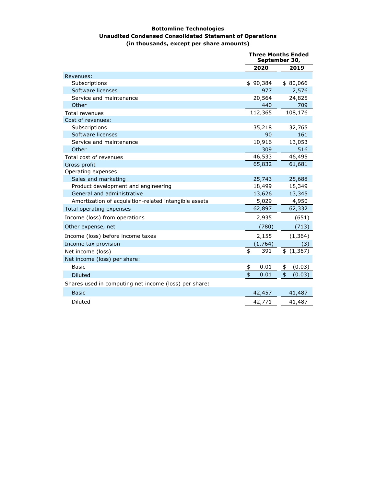#### **Bottomline Technologies Unaudited Condensed Consolidated Statement of Operations (in thousands, except per share amounts)**

|                                                       | <b>Three Months Ended</b><br>September 30, |                         |  |
|-------------------------------------------------------|--------------------------------------------|-------------------------|--|
|                                                       | 2020                                       | 2019                    |  |
| Revenues:                                             |                                            |                         |  |
| Subscriptions                                         | \$90,384                                   | \$80,066                |  |
| Software licenses                                     | 977                                        | 2,576                   |  |
| Service and maintenance                               | 20,564                                     | 24,825                  |  |
| Other                                                 | 440                                        | 709                     |  |
| <b>Total revenues</b>                                 | 112,365                                    | 108,176                 |  |
| Cost of revenues:                                     |                                            |                         |  |
| Subscriptions                                         | 35,218                                     | 32,765                  |  |
| Software licenses                                     | 90                                         | 161                     |  |
| Service and maintenance                               | 10,916                                     | 13,053                  |  |
| Other                                                 | 309                                        | 516                     |  |
| Total cost of revenues                                | 46,533                                     | 46,495                  |  |
| Gross profit                                          | 65,832                                     | 61,681                  |  |
| Operating expenses:                                   |                                            |                         |  |
| Sales and marketing                                   | 25,743                                     | 25,688                  |  |
| Product development and engineering                   | 18,499                                     | 18,349                  |  |
| General and administrative                            | 13,626                                     | 13,345                  |  |
| Amortization of acquisition-related intangible assets | 5,029                                      | 4,950                   |  |
| Total operating expenses                              | 62,897                                     | 62,332                  |  |
| Income (loss) from operations                         | 2,935                                      | (651)                   |  |
| Other expense, net                                    | (780)                                      | (713)                   |  |
| Income (loss) before income taxes                     | 2,155                                      | (1, 364)                |  |
| Income tax provision                                  | (1,764)                                    | (3)                     |  |
| Net income (loss)                                     | \$<br>391                                  | \$(1,367)               |  |
| Net income (loss) per share:                          |                                            |                         |  |
| <b>Basic</b>                                          | 0.01<br>$\frac{1}{2}$                      | \$<br>(0.03)            |  |
| <b>Diluted</b>                                        | $\ddagger$<br>0.01                         | $\frac{4}{5}$<br>(0.03) |  |
| Shares used in computing net income (loss) per share: |                                            |                         |  |
| <b>Basic</b>                                          | 42,457                                     | 41,487                  |  |
| Diluted                                               | 42,771                                     | 41,487                  |  |